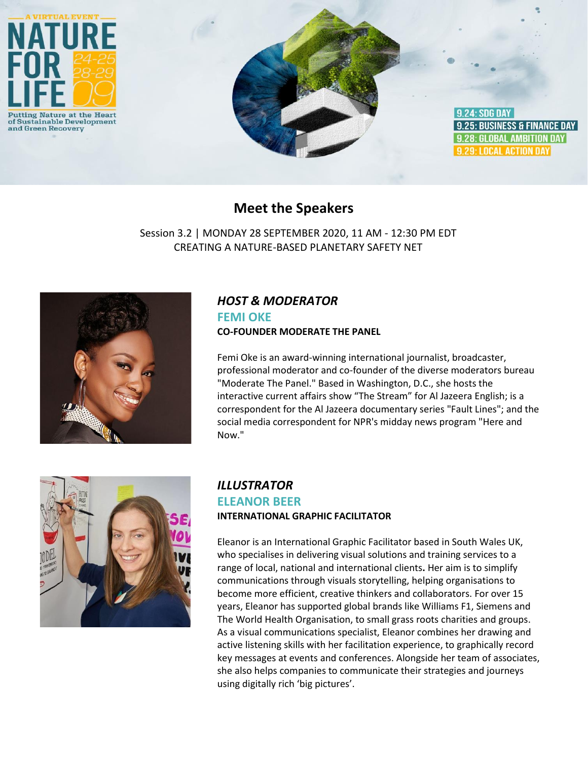

# **Meet the Speakers**

Session 3.2 | MONDAY 28 SEPTEMBER 2020, 11 AM - 12:30 PM EDT CREATING A NATURE-BASED PLANETARY SAFETY NET



# *HOST & MODERATOR*

#### **FEMI OKE CO-FOUNDER MODERATE THE PANEL**

Femi Oke is an award-winning international journalist, broadcaster, professional moderator and co-founder of the diverse moderators bureau "Moderate The Panel." Based in Washington, D.C., she hosts the interactive current affairs show "The Stream" for Al Jazeera English; is a correspondent for the Al Jazeera documentary series "Fault Lines"; and the social media correspondent for NPR's midday news program "Here and Now."



## *ILLUSTRATOR* **ELEANOR BEER INTERNATIONAL GRAPHIC FACILITATOR**

Eleanor is an International Graphic Facilitator based in South Wales UK, who specialises in delivering visual solutions and training services to a range of local, national and international clients**.** Her aim is to simplify communications through visuals storytelling, helping organisations to become more efficient, creative thinkers and collaborators. For over 15 years, Eleanor has supported global brands like Williams F1, Siemens and The World Health Organisation, to small grass roots charities and groups. As a visual communications specialist, Eleanor combines her drawing and active listening skills with her facilitation experience, to graphically record key messages at events and conferences. Alongside her team of associates, she also helps companies to communicate their strategies and journeys using digitally rich 'big pictures'.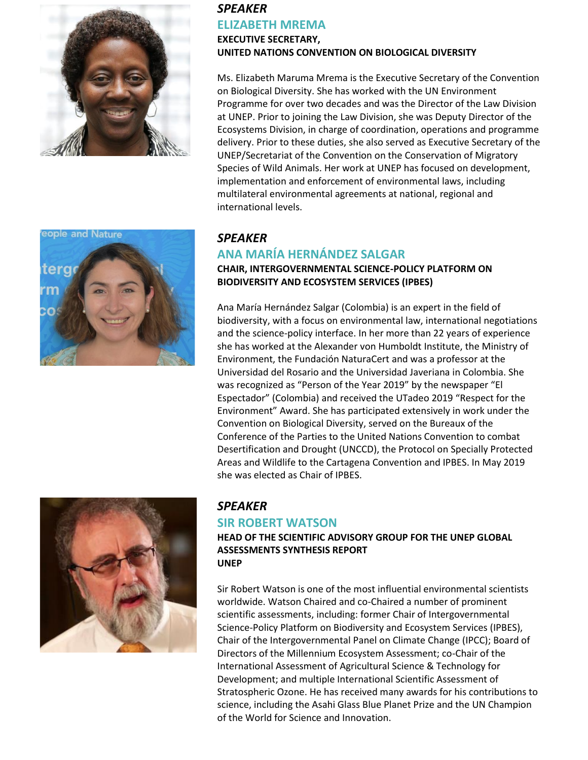



### *SPEAKER* **ELIZABETH MREMA EXECUTIVE SECRETARY,**

**UNITED NATIONS CONVENTION ON BIOLOGICAL DIVERSITY**

Ms. Elizabeth Maruma Mrema is the Executive Secretary of the Convention on Biological Diversity. She has worked with the UN Environment Programme for over two decades and was the Director of the Law Division at UNEP. Prior to joining the Law Division, she was Deputy Director of the Ecosystems Division, in charge of coordination, operations and programme delivery. Prior to these duties, she also served as Executive Secretary of the UNEP/Secretariat of the Convention on the Conservation of Migratory Species of Wild Animals. Her work at UNEP has focused on development, implementation and enforcement of environmental laws, including multilateral environmental agreements at national, regional and international levels.

### *SPEAKER*

## **ANA MARÍA HERNÁNDEZ SALGAR**

### **CHAIR, INTERGOVERNMENTAL SCIENCE-POLICY PLATFORM ON BIODIVERSITY AND ECOSYSTEM SERVICES (IPBES)**

Ana María Hernández Salgar (Colombia) is an expert in the field of biodiversity, with a focus on environmental law, international negotiations and the science-policy interface. In her more than 22 years of experience she has worked at the Alexander von Humboldt Institute, the Ministry of Environment, the Fundación NaturaCert and was a professor at the Universidad del Rosario and the Universidad Javeriana in Colombia. She was recognized as "Person of the Year 2019" by the newspaper "El Espectador" (Colombia) and received the UTadeo 2019 "Respect for the Environment" Award. She has participated extensively in work under the Convention on Biological Diversity, served on the Bureaux of the Conference of the Parties to the United Nations Convention to combat Desertification and Drought (UNCCD), the Protocol on Specially Protected Areas and Wildlife to the Cartagena Convention and IPBES. In May 2019 she was elected as Chair of IPBES.



# *SPEAKER*

### **SIR ROBERT WATSON**

**HEAD OF THE SCIENTIFIC ADVISORY GROUP FOR THE UNEP GLOBAL ASSESSMENTS SYNTHESIS REPORT UNEP**

Sir Robert Watson is one of the most influential environmental scientists worldwide. Watson Chaired and co-Chaired a number of prominent scientific assessments, including: former Chair of Intergovernmental Science-Policy Platform on Biodiversity and Ecosystem Services (IPBES), Chair of the Intergovernmental Panel on Climate Change (IPCC); Board of Directors of the Millennium Ecosystem Assessment; co-Chair of the International Assessment of Agricultural Science & Technology for Development; and multiple International Scientific Assessment of Stratospheric Ozone. He has received many awards for his contributions to science, including the Asahi Glass Blue Planet Prize and the UN Champion of the World for Science and Innovation.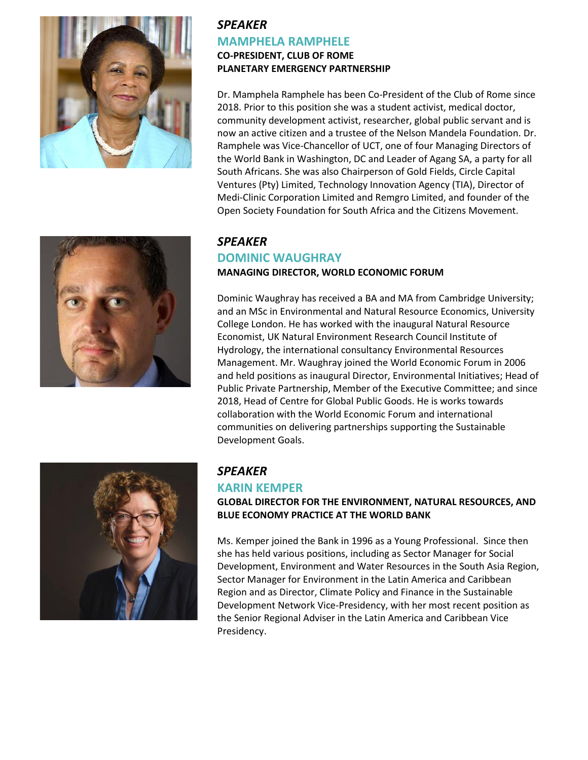



## *SPEAKER* **MAMPHELA RAMPHELE CO-PRESIDENT, CLUB OF ROME PLANETARY EMERGENCY PARTNERSHIP**

Dr. Mamphela Ramphele has been Co-President of the Club of Rome since 2018. Prior to this position she was a student activist, medical doctor, community development activist, researcher, global public servant and is now an active citizen and a trustee of the Nelson Mandela Foundation. Dr. Ramphele was Vice-Chancellor of UCT, one of four Managing Directors of the World Bank in Washington, DC and Leader of Agang SA, a party for all South Africans. She was also Chairperson of Gold Fields, Circle Capital Ventures (Pty) Limited, Technology Innovation Agency (TIA), Director of Medi-Clinic Corporation Limited and Remgro Limited, and founder of the Open Society Foundation for South Africa and the Citizens Movement.

### *SPEAKER*  **DOMINIC WAUGHRAY**

#### **MANAGING DIRECTOR, WORLD ECONOMIC FORUM**

Dominic Waughray has received a BA and MA from Cambridge University; and an MSc in Environmental and Natural Resource Economics, University College London. He has worked with the inaugural Natural Resource Economist, UK Natural Environment Research Council Institute of Hydrology, the international consultancy Environmental Resources Management. Mr. Waughray joined the World Economic Forum in 2006 and held positions as inaugural Director, Environmental Initiatives; Head of Public Private Partnership, Member of the Executive Committee; and since 2018, Head of Centre for Global Public Goods. He is works towards collaboration with the World Economic Forum and international communities on delivering partnerships supporting the Sustainable Development Goals.



### *SPEAKER*

### **KARIN KEMPER**

#### **GLOBAL DIRECTOR FOR THE ENVIRONMENT, NATURAL RESOURCES, AND BLUE ECONOMY PRACTICE AT THE WORLD BANK**

Ms. Kemper joined the Bank in 1996 as a Young Professional. Since then she has held various positions, including as Sector Manager for Social Development, Environment and Water Resources in the South Asia Region, Sector Manager for Environment in the Latin America and Caribbean Region and as Director, Climate Policy and Finance in the Sustainable Development Network Vice-Presidency, with her most recent position as the Senior Regional Adviser in the Latin America and Caribbean Vice Presidency.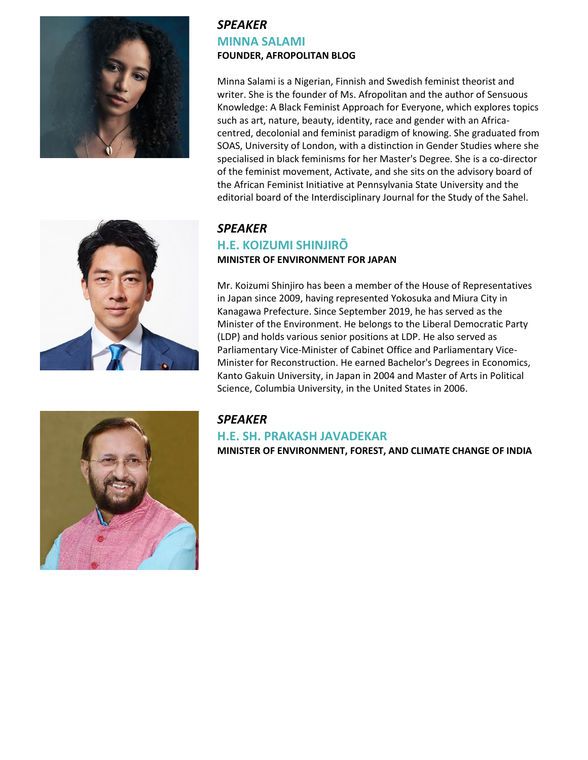



## *SPEAKER*  **MINNA SALAMI FOUNDER, AFROPOLITAN BLOG**

Minna Salami is a Nigerian, Finnish and Swedish feminist theorist and writer. She is the founder of Ms. Afropolitan and the author of Sensuous Knowledge: A Black Feminist Approach for Everyone, which explores topics such as art, nature, beauty, identity, race and gender with an Africacentred, decolonial and feminist paradigm of knowing. She graduated from SOAS, University of London, with a distinction in Gender Studies where she specialised in black feminisms for her Master's Degree. She is a co-director of the feminist movement, Activate, and she sits on the advisory board of the African Feminist Initiative at Pennsylvania State University and the editorial board of the Interdisciplinary Journal for the Study of the Sahel.

# *SPEAKER*  **H.E. KOIZUMI SHINJIRŌ MINISTER OF ENVIRONMENT FOR JAPAN**

Mr. Koizumi Shinjiro has been a member of the House of Representatives in Japan since 2009, having represented Yokosuka and Miura City in Kanagawa Prefecture. Since September 2019, he has served as the Minister of the Environment. He belongs to the Liberal Democratic Party (LDP) and holds various senior positions at LDP. He also served as Parliamentary Vice-Minister of Cabinet Office and Parliamentary Vice-Minister for Reconstruction. He earned Bachelor's Degrees in Economics, Kanto Gakuin University, in Japan in 2004 and Master of Arts in Political Science, Columbia University, in the United States in 2006.



# *SPEAKER*

### **H.E. SH. PRAKASH JAVADEKAR**

**MINISTER OF ENVIRONMENT, FOREST, AND CLIMATE CHANGE OF INDIA**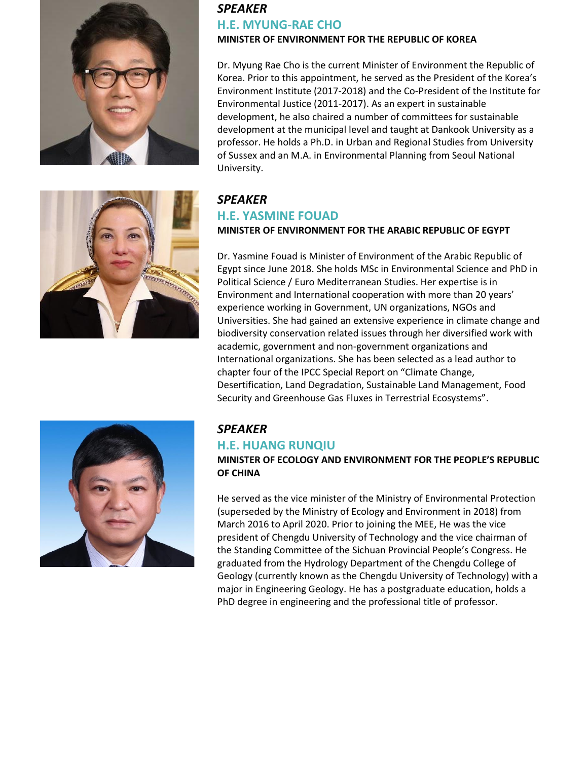



# *SPEAKER*  **H.E. MYUNG-RAE CHO**

#### **MINISTER OF ENVIRONMENT FOR THE REPUBLIC OF KOREA**

Dr. Myung Rae Cho is the current Minister of Environment the Republic of Korea. Prior to this appointment, he served as the President of the Korea's Environment Institute (2017-2018) and the Co-President of the Institute for Environmental Justice (2011-2017). As an expert in sustainable development, he also chaired a number of committees for sustainable development at the municipal level and taught at Dankook University as a professor. He holds a Ph.D. in Urban and Regional Studies from University of Sussex and an M.A. in Environmental Planning from Seoul National University.

# *SPEAKER*

### **H.E. YASMINE FOUAD**

### **MINISTER OF ENVIRONMENT FOR THE ARABIC REPUBLIC OF EGYPT**

Dr. Yasmine Fouad is Minister of Environment of the Arabic Republic of Egypt since June 2018. She holds MSc in Environmental Science and PhD in Political Science / Euro Mediterranean Studies. Her expertise is in Environment and International cooperation with more than 20 years' experience working in Government, UN organizations, NGOs and Universities. She had gained an extensive experience in climate change and biodiversity conservation related issues through her diversified work with academic, government and non-government organizations and International organizations. She has been selected as a lead author to chapter four of the IPCC Special Report on "Climate Change, Desertification, Land Degradation, Sustainable Land Management, Food Security and Greenhouse Gas Fluxes in Terrestrial Ecosystems".



# *SPEAKER*

# **H.E. HUANG RUNQIU**

**MINISTER OF ECOLOGY AND ENVIRONMENT FOR THE PEOPLE'S REPUBLIC OF CHINA**

He served as the vice minister of the Ministry of Environmental Protection (superseded by the Ministry of Ecology and Environment in 2018) from March 2016 to April 2020. Prior to joining the MEE, He was the vice president of Chengdu University of Technology and the vice chairman of the Standing Committee of the Sichuan Provincial People's Congress. He graduated from the Hydrology Department of the Chengdu College of Geology (currently known as the Chengdu University of Technology) with a major in Engineering Geology. He has a postgraduate education, holds a PhD degree in engineering and the professional title of professor.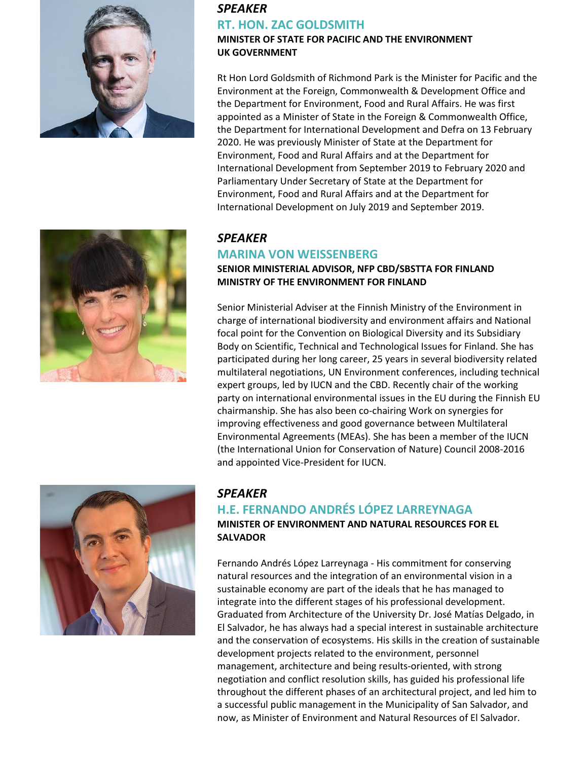

# *SPEAKER*  **RT. HON. ZAC GOLDSMITH**

#### **MINISTER OF STATE FOR PACIFIC AND THE ENVIRONMENT UK GOVERNMENT**

Rt Hon Lord Goldsmith of Richmond Park is the Minister for Pacific and the Environment at the Foreign, Commonwealth & Development Office and the Department for Environment, Food and Rural Affairs. He was first appointed as a Minister of State in the Foreign & Commonwealth Office, the Department for International Development and Defra on 13 February 2020. He was previously Minister of State at the Department for Environment, Food and Rural Affairs and at the Department for International Development from September 2019 to February 2020 and Parliamentary Under Secretary of State at the Department for Environment, Food and Rural Affairs and at the Department for International Development on July 2019 and September 2019.



## *SPEAKER*

### **MARINA VON WEISSENBERG**

#### **SENIOR MINISTERIAL ADVISOR, NFP CBD/SBSTTA FOR FINLAND MINISTRY OF THE ENVIRONMENT FOR FINLAND**

Senior Ministerial Adviser at the Finnish Ministry of the Environment in charge of international biodiversity and environment affairs and National focal point for the Convention on Biological Diversity and its Subsidiary Body on Scientific, Technical and Technological Issues for Finland. She has participated during her long career, 25 years in several biodiversity related multilateral negotiations, UN Environment conferences, including technical expert groups, led by IUCN and the CBD. Recently chair of the working party on international environmental issues in the EU during the Finnish EU chairmanship. She has also been co-chairing Work on synergies for improving effectiveness and good governance between Multilateral Environmental Agreements (MEAs). She has been a member of the IUCN (the International Union for Conservation of Nature) Council 2008-2016 and appointed Vice-President for IUCN.



## *SPEAKER*

## **H.E. FERNANDO ANDRÉS LÓPEZ LARREYNAGA**

**MINISTER OF ENVIRONMENT AND NATURAL RESOURCES FOR EL SALVADOR**

Fernando Andrés López Larreynaga - His commitment for conserving natural resources and the integration of an environmental vision in a sustainable economy are part of the ideals that he has managed to integrate into the different stages of his professional development. Graduated from Architecture of the University Dr. José Matías Delgado, in El Salvador, he has always had a special interest in sustainable architecture and the conservation of ecosystems. His skills in the creation of sustainable development projects related to the environment, personnel management, architecture and being results-oriented, with strong negotiation and conflict resolution skills, has guided his professional life throughout the different phases of an architectural project, and led him to a successful public management in the Municipality of San Salvador, and now, as Minister of Environment and Natural Resources of El Salvador.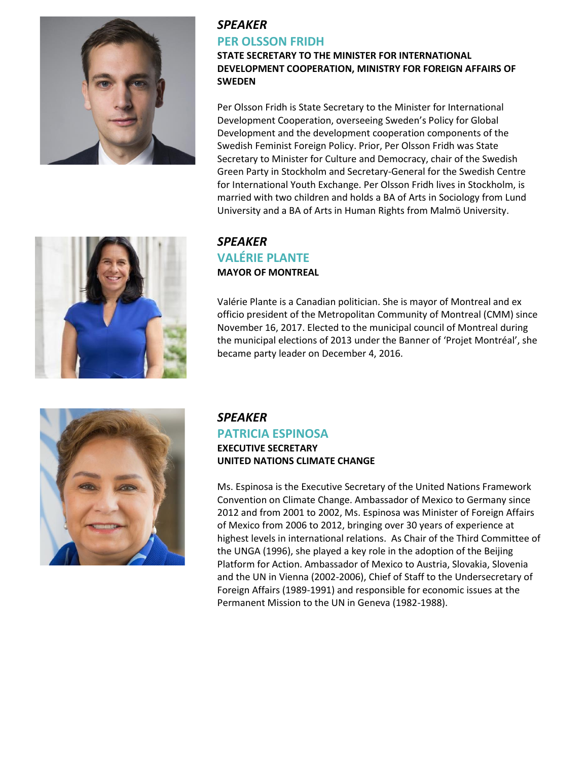

## *SPEAKER*  **PER OLSSON FRIDH**

**STATE SECRETARY TO THE MINISTER FOR INTERNATIONAL DEVELOPMENT COOPERATION, MINISTRY FOR FOREIGN AFFAIRS OF SWEDEN**

Per Olsson Fridh is State Secretary to the Minister for International Development Cooperation, overseeing Sweden's Policy for Global Development and the development cooperation components of the Swedish Feminist Foreign Policy. Prior, Per Olsson Fridh was State Secretary to Minister for Culture and Democracy, chair of the Swedish Green Party in Stockholm and Secretary-General for the Swedish Centre for International Youth Exchange. Per Olsson Fridh lives in Stockholm, is married with two children and holds a BA of Arts in Sociology from Lund University and a BA of Arts in Human Rights from Malmö University.



## *SPEAKER*  **VALÉRIE PLANTE MAYOR OF MONTREAL**

Valérie Plante is a Canadian politician. She is mayor of Montreal and ex officio president of the Metropolitan Community of Montreal (CMM) since November 16, 2017. Elected to the municipal council of Montreal during the municipal elections of 2013 under the Banner of 'Projet Montréal', she became party leader on December 4, 2016.



# *SPEAKER*

### **PATRICIA ESPINOSA EXECUTIVE SECRETARY UNITED NATIONS CLIMATE CHANGE**

Ms. Espinosa is the Executive Secretary of the United Nations Framework Convention on Climate Change. Ambassador of Mexico to Germany since 2012 and from 2001 to 2002, Ms. Espinosa was Minister of Foreign Affairs of Mexico from 2006 to 2012, bringing over 30 years of experience at highest levels in international relations. As Chair of the Third Committee of the UNGA (1996), she played a key role in the adoption of the Beijing Platform for Action. Ambassador of Mexico to Austria, Slovakia, Slovenia and the UN in Vienna (2002-2006), Chief of Staff to the Undersecretary of Foreign Affairs (1989-1991) and responsible for economic issues at the Permanent Mission to the UN in Geneva (1982-1988).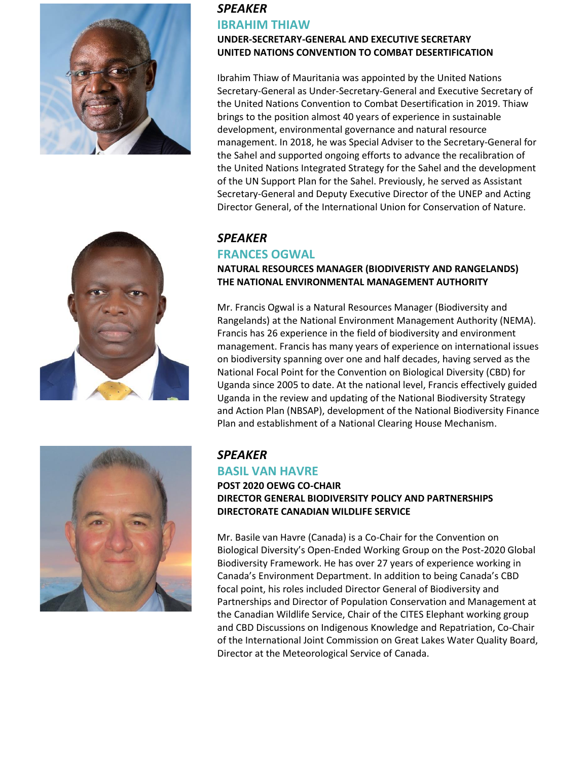





### **UNDER-SECRETARY-GENERAL AND EXECUTIVE SECRETARY UNITED NATIONS CONVENTION TO COMBAT DESERTIFICATION**

Ibrahim Thiaw of Mauritania was appointed by the United Nations Secretary-General as Under-Secretary-General and Executive Secretary of the United Nations Convention to Combat Desertification in 2019. Thiaw brings to the position almost 40 years of experience in sustainable development, environmental governance and natural resource management. In 2018, he was Special Adviser to the Secretary-General for the Sahel and supported ongoing efforts to advance the recalibration of the United Nations Integrated Strategy for the Sahel and the development of the UN Support Plan for the Sahel. Previously, he served as Assistant Secretary-General and Deputy Executive Director of the UNEP and Acting Director General, of the International Union for Conservation of Nature.

## *SPEAKER*

## **FRANCES OGWAL**

### **NATURAL RESOURCES MANAGER (BIODIVERISTY AND RANGELANDS) THE NATIONAL ENVIRONMENTAL MANAGEMENT AUTHORITY**

Mr. Francis Ogwal is a Natural Resources Manager (Biodiversity and Rangelands) at the National Environment Management Authority (NEMA). Francis has 26 experience in the field of biodiversity and environment management. Francis has many years of experience on international issues on biodiversity spanning over one and half decades, having served as the National Focal Point for the Convention on Biological Diversity (CBD) for Uganda since 2005 to date. At the national level, Francis effectively guided Uganda in the review and updating of the National Biodiversity Strategy and Action Plan (NBSAP), development of the National Biodiversity Finance Plan and establishment of a National Clearing House Mechanism.



# *SPEAKER*

### **BASIL VAN HAVRE**

**POST 2020 OEWG CO-CHAIR DIRECTOR GENERAL BIODIVERSITY POLICY AND PARTNERSHIPS DIRECTORATE CANADIAN WILDLIFE SERVICE** 

Mr. Basile van Havre (Canada) is a Co-Chair for the Convention on Biological Diversity's Open-Ended Working Group on the Post-2020 Global Biodiversity Framework. He has over 27 years of experience working in Canada's Environment Department. In addition to being Canada's CBD focal point, his roles included Director General of Biodiversity and Partnerships and Director of Population Conservation and Management at the Canadian Wildlife Service, Chair of the CITES Elephant working group and CBD Discussions on Indigenous Knowledge and Repatriation, Co-Chair of the International Joint Commission on Great Lakes Water Quality Board, Director at the Meteorological Service of Canada.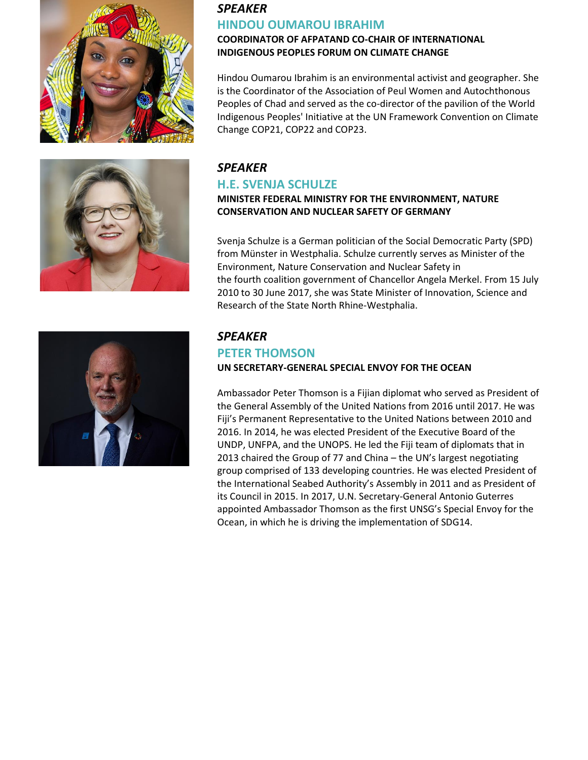





# *SPEAKER*  **HINDOU OUMAROU IBRAHIM**

#### **COORDINATOR OF AFPATAND CO-CHAIR OF INTERNATIONAL INDIGENOUS PEOPLES FORUM ON CLIMATE CHANGE**

Hindou Oumarou Ibrahim is an environmental activist and geographer. She is the Coordinator of the Association of Peul Women and Autochthonous Peoples of Chad and served as the co-director of the pavilion of the World Indigenous Peoples' Initiative at the UN Framework Convention on Climate Change COP21, COP22 and COP23.

# *SPEAKER*

## **H.E. SVENJA SCHULZE**

**MINISTER FEDERAL MINISTRY FOR THE ENVIRONMENT, NATURE CONSERVATION AND NUCLEAR SAFETY OF GERMANY**

Svenja Schulze is a [German](https://en.wikipedia.org/wiki/Germany) [politician](https://en.wikipedia.org/wiki/Politician) of the [Social Democratic Party](https://en.wikipedia.org/wiki/Social_Democratic_Party_of_Germany) (SPD) from [Münster](https://en.wikipedia.org/wiki/M%C3%BCnster) in [Westphalia.](https://en.wikipedia.org/wiki/Westphalia) Schulze currently serves as [Minister of the](https://en.wikipedia.org/wiki/Federal_Ministry_for_the_Environment,_Nature_Conservation_and_Nuclear_Safety)  [Environment, Nature Conservation](https://en.wikipedia.org/wiki/Federal_Ministry_for_the_Environment,_Nature_Conservation_and_Nuclear_Safety) and Nuclear Safety in the [fourth](https://en.wikipedia.org/wiki/Fourth_Merkel_cabinet) [coalition government](https://en.wikipedia.org/wiki/Coalition_government) of [Chancellor](https://en.wikipedia.org/wiki/Chancellor_of_Germany) [Angela Merkel.](https://en.wikipedia.org/wiki/Angela_Merkel) From 15 July 2010 to 30 June 2017, she was State Minister of Innovation, Science and Research of the State [North Rhine-Westphalia.](https://en.wikipedia.org/wiki/North_Rhine-Westphalia)

## *SPEAKER*  **PETER THOMSON UN SECRETARY-GENERAL SPECIAL ENVOY FOR THE OCEAN**

Ambassador Peter Thomson is a Fijian diplomat who served as President of the General Assembly of the United Nations from 2016 until 2017. He was Fiji's Permanent Representative to the United Nations between 2010 and 2016. In 2014, he was elected President of the Executive Board of the UNDP, UNFPA, and the UNOPS. He led the Fiji team of diplomats that in 2013 chaired the Group of 77 and China – the UN's largest negotiating group comprised of 133 developing countries. He was elected President of the International Seabed Authority's Assembly in 2011 and as President of its Council in 2015. In 2017, U.N. Secretary-General Antonio Guterres appointed Ambassador Thomson as the first UNSG's Special Envoy for the Ocean, in which he is driving the implementation of SDG14.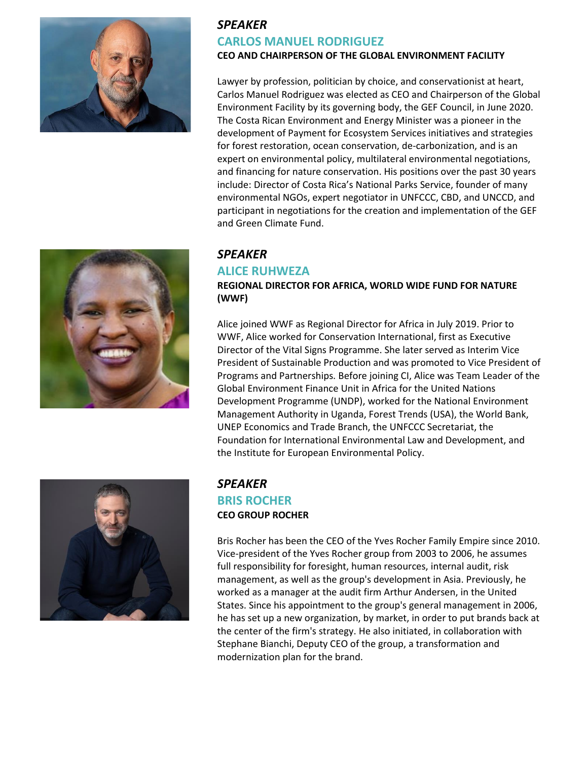



# *SPEAKER*  **CARLOS MANUEL RODRIGUEZ CEO AND CHAIRPERSON OF THE GLOBAL ENVIRONMENT FACILITY**

Lawyer by profession, politician by choice, and conservationist at heart, Carlos Manuel Rodriguez was elected as CEO and Chairperson of the Global Environment Facility by its governing body, the GEF Council, in June 2020. The Costa Rican Environment and Energy Minister was a pioneer in the development of Payment for Ecosystem Services initiatives and strategies for forest restoration, ocean conservation, de-carbonization, and is an expert on environmental policy, multilateral environmental negotiations, and financing for nature conservation. His positions over the past 30 years include: Director of Costa Rica's National Parks Service, founder of many environmental NGOs, expert negotiator in UNFCCC, CBD, and UNCCD, and participant in negotiations for the creation and implementation of the GEF and Green Climate Fund.

# *SPEAKER*

### **ALICE RUHWEZA**

**REGIONAL DIRECTOR FOR AFRICA, WORLD WIDE FUND FOR NATURE (WWF)**

Alice joined WWF as Regional Director for Africa in July 2019. Prior to WWF, Alice worked for Conservation International, first as Executive Director of the Vital Signs Programme. She later served as Interim Vice President of Sustainable Production and was promoted to Vice President of Programs and Partnerships. Before joining CI, Alice was Team Leader of the Global Environment Finance Unit in Africa for the United Nations Development Programme (UNDP), worked for the National Environment Management Authority in Uganda, Forest Trends (USA), the World Bank, UNEP Economics and Trade Branch, the UNFCCC Secretariat, the Foundation for International Environmental Law and Development, and the Institute for European Environmental Policy.



## *SPEAKER*  **BRIS ROCHER CEO GROUP ROCHER**

Bris Rocher has been the CEO of the Yves Rocher Family Empire since 2010. Vice-president of the Yves Rocher group from 2003 to 2006, he assumes full responsibility for foresight, human resources, internal audit, risk management, as well as the group's development in Asia. Previously, he worked as a manager at the audit firm Arthur Andersen, in the United States. Since his appointment to the group's general management in 2006, he has set up a new organization, by market, in order to put brands back at the center of the firm's strategy. He also initiated, in collaboration with Stephane Bianchi, Deputy CEO of the group, a transformation and modernization plan for the brand.